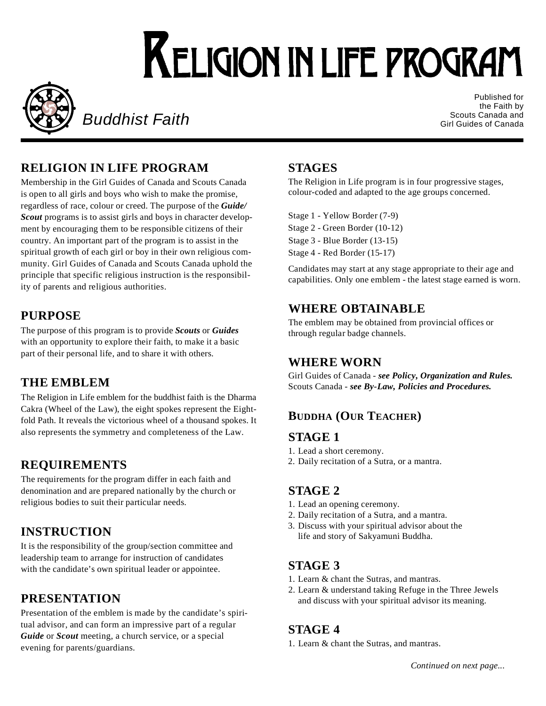# **KELIGION IN LIFE PROGRAM**



**Buddhist Faith** 

Published for the Faith by Scouts Canada and Girl Guides of Canada

## **RELIGION IN LIFE PROGRAM**

Membership in the Girl Guides of Canada and Scouts Canada is open to all girls and boys who wish to make the promise, regardless of race, colour or creed. The purpose of the **Guide/** *Scout* programs is to assist girls and boys in character development by encouraging them to be responsible citizens of their country. An important part of the program is to assist in the spiritual growth of each girl or boy in their own religious community. Girl Guides of Canada and Scouts Canada uphold the principle that specific religious instruction is the responsibility of parents and religious authorities.

#### **PURPOSE**

The purpose of this program is to provide *Scouts* or *Guides* with an opportunity to explore their faith, to make it a basic part of their personal life, and to share it with others.

#### **THE EMBLEM**

The Religion in Life emblem for the buddhist faith is the Dharma Cakra (Wheel of the Law), the eight spokes represent the Eightfold Path. It reveals the victorious wheel of a thousand spokes. It also represents the symmetry and completeness of the Law.

#### **REQUIREMENTS**

The requirements for the program differ in each faith and denomination and are prepared nationally by the church or religious bodies to suit their particular needs.

## **INSTRUCTION**

It is the responsibility of the group/section committee and leadership team to arrange for instruction of candidates with the candidate's own spiritual leader or appointee.

#### **PRESENTATION**

Presentation of the emblem is made by the candidate's spiritual advisor, and can form an impressive part of a regular *Guide* or *Scout* meeting, a church service, or a special evening for parents/guardians.

#### **STAGES**

The Religion in Life program is in four progressive stages, colour-coded and adapted to the age groups concerned.

Stage 1 - Yellow Border (7-9) Stage 2 - Green Border (10-12) Stage 3 - Blue Border (13-15) Stage 4 - Red Border (15-17)

Candidates may start at any stage appropriate to their age and capabilities. Only one emblem - the latest stage earned is worn.

#### **WHERE OBTAINABLE**

The emblem may be obtained from provincial offices or through regular badge channels.

#### **WHERE WORN**

Girl Guides of Canada - *see Policy, Organization and Rules.* Scouts Canada - *see By-Law, Policies and Procedures.*

#### **BUDDHA** (OUR TEACHER)

#### **S TAGE 1**

- 1. Lead a short ceremony.
- 2. Daily recitation of a Sutra, or a mantra.

#### **S TAGE 2**

- 1. Lead an opening ceremony.
- 2. Daily recitation of a Sutra, and a mantra.
- 3 . Discuss with your spiritual advisor about the life and story of Sakyamuni Buddha.

#### **S TAGE 3**

- 1. Learn & chant the Sutras, and mantras.
- 2 . Learn & understand taking Refuge in the Three Jewels and discuss with your spiritual advisor its meaning.

#### **S TAGE 4**

1 . Learn & chant the Sutras, and mantras.